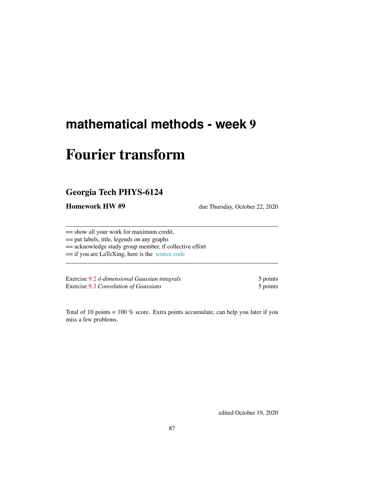# **mathematical methods - week** 9

# Fourier transform

# Georgia Tech PHYS-6124

Homework HW #9 due Thursday, October 22, 2020

== show all your work for maximum credit,

== put labels, title, legends on any graphs

== acknowledge study group member, if collective effort

== if you are LaTeXing, here is the [source code](http://ChaosBook.org/~predrag/courses/PHYS-6124-20/exerWeek9.tex)

Exercise [9.2](#page-5-0) d-dimensional Gaussian integrals 5 points Exercise [9.3](#page-5-1) *Convolution of Gaussians* 5 points 5 points

Total of 10 points = 100 % score. Extra points accumulate, can help you later if you miss a few problems.

edited October 19, 2020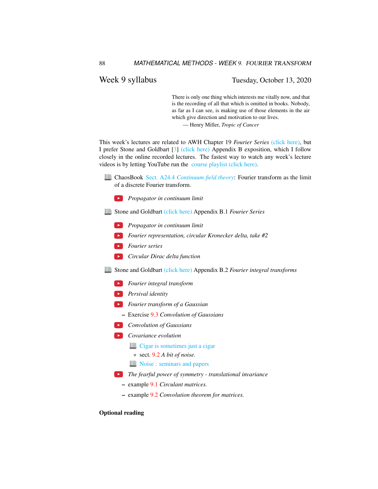# Week 9 syllabus Tuesday, October 13, 2020

There is only one thing which interests me vitally now, and that is the recording of all that which is omitted in books. Nobody, as far as I can see, is making use of those elements in the air which give direction and motivation to our lives.

— Henry Miller, *Tropic of Cancer*

This week's lectures are related to AWH Chapter 19 *Fourier Series* [\(click here\),](http://ChaosBook.org/library/ArWeHa13chap19.pdf) but I prefer Stone and Goldbart [\[3\]](#page-5-2) [\(click here\)](http://ChaosBook.org/library/StGoAppB.pdf) Appendix B exposition, which I follow closely in the online recorded lectures. The fastest way to watch any week's lecture videos is by letting YouTube run the [course playlist \(click here\).](https://www.youtube.com/watch?v=EjRrjE71dQo&list=PLVcaOb64gCp-J115RvfOhE1Yb4s584Mho&index=78)

- ChaosBook Sect. A24.4 *[Continuum field theory](http://ChaosBook.org/chapters/ChaosBook.pdf#section.X.4)*: Fourier transform as the limit of a discrete Fourier transform.
	- *Propagator in continuum limit*
- Stone and Goldbart [\(click here\)](http://ChaosBook.org/library/StGoAppB.pdf) Appendix B.1 *Fourier Series*
	- *Propagator in continuum limit*
	- *Fourier representation, circular Kronecker delta, take #2*
	- *Fourier series*
	- *Circular Dirac delta function*
- Stone and Goldbart [\(click here\)](http://ChaosBook.org/library/StGoAppB.pdf) Appendix B.2 *Fourier integral transforms*
	- *Fourier integral transform*
	- *Persival identity*
	- *Fourier transform of a Gaussian*
		- Exercise [9.3](#page-5-1) *Convolution of Gaussians*
	- *Convolution of Gaussians*
	- *Covariance evolution*
		- **[Cigar is sometimes just a cigar](http://ChaosBook.org/~predrag/courses/PHYS-6124-20/videos/week9/cigar.pdf)**
		- \* sect. [9.2](#page-3-0) *A bit of noise.*
		- **[Noise : seminars and papers](http://ChaosBook.org/overheads/noise/index.html)**
	- *The fearful power of symmetry translational invariance*
		- example [9.1](#page-2-0) *Circulant matrices.*
		- example [9.2](#page-3-1) *Convolution theorem for matrices.*

#### Optional reading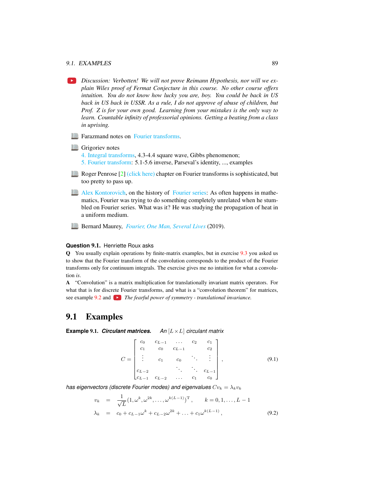#### 9.1. EXAMPLES 89

*Discussion: Verbotten! We will not prove Reimann Hypothesis, nor will we explain Wiles proof of Fermat Conjecture in this course. No other course offers intuition. You do not know how lucky you are, boy. You could be back in US back in US back in USSR. As a rule, I do not approve of abuse of children, but Prof. Z is for your own good. Learning from your mistakes is the only way to learn. Countable infinity of professorial opinions. Getting a beating from a class in uprising.*

**Farazmand notes on [Fourier transforms.](http://ChaosBook.org/~predrag/courses/PHYS-6124-20/FourierLectFaraz.pdf)** 

- **Grigoriev** notes
	- [4. Integral transforms,](http://ChaosBook.org/~predrag/courses/PHYS-6124-20/ln4.pdf) 4.3-4.4 square wave, Gibbs phenomenon;
	- [5. Fourier transform:](http://ChaosBook.org/~predrag/courses/PHYS-6124-20/ln5.pdf) 5.1-5.6 inverse, Parseval's identity, ..., examples
- Roger Penrose [\[2\]](#page-5-3) [\(click here\)](http://ChaosBook.org/library/Penr04-9.pdf) chapter on Fourier transforms is sophisticated, but too pretty to pass up.
- [Alex Kontorovich,](https://sites.math.rutgers.edu/~alexk) on the history of [Fourier series:](https://threadreaderapp.com/thread/1171519369089667072.html) As often happens in mathematics, Fourier was trying to do something completely unrelated when he stumbled on Fourier series. What was it? He was studying the propagation of heat in a uniform medium.
- **Bernard Maurey,** *[Fourier, One Man, Several Lives](https://www.ems-ph.org/journals/newsletter/pdf/2019-09-113.pdf#page=10)* **(2019).**

#### **Question** 9.1. Henriette Roux asks

Q You usually explain operations by finite-matrix examples, but in exercise [9.3](#page-5-1) you asked us to show that the Fourier transform of the convolution corresponds to the product of the Fourier transforms only for continuum integrals. The exercise gives me no intuition for what a convolution *is*.

A "Convolution" is a matrix multiplication for translationally invariant matrix operators. For what that is for discrete Fourier transforms, and what is a "convolution theorem" for matrices, see example [9.2](#page-3-1) and **The fearful power of symmetry** - translational invariance.

# 9.1 Examples

<span id="page-2-0"></span>**Example** 9.1. *Circulant matrices. An* [L×L] *circulant matrix*

<span id="page-2-1"></span>
$$
C = \begin{bmatrix} c_0 & c_{L-1} & \dots & c_2 & c_1 \\ c_1 & c_0 & c_{L-1} & c_2 \\ \vdots & c_1 & c_0 & \ddots & \vdots \\ c_{L-2} & \ddots & c_{L-1} & c_0 \\ c_{L-1} & c_{L-2} & \dots & c_1 & c_0 \end{bmatrix},
$$
(9.1)

*has eigenvectors (discrete Fourier modes) and eigenvalues*  $Cv_k = \lambda_k v_k$ 

$$
v_k = \frac{1}{\sqrt{L}} (1, \omega^k, \omega^{2k}, \dots, \omega^{k(L-1)})^{\mathrm{T}}, \qquad k = 0, 1, \dots, L-1
$$
  

$$
\lambda_k = c_0 + c_{L-1} \omega^k + c_{L-2} \omega^{2k} + \dots + c_1 \omega^{k(L-1)}, \qquad (9.2)
$$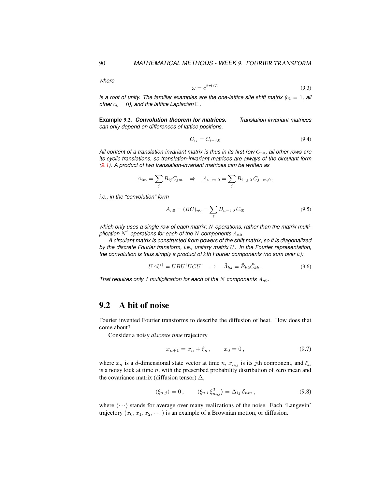*where*

$$
\omega = e^{2\pi i/L} \tag{9.3}
$$

*is a root of unity. The familiar examples are the one-lattice site shift matrix*  $(c_1 = 1,$  *all other*  $c_k = 0$ *), and the lattice Laplacian*  $\Box$ *.* 

<span id="page-3-1"></span>**Example** 9.2. *Convolution theorem for matrices. Translation-invariant matrices can only depend on differences of lattice positions,*

$$
C_{ij} = C_{i-j,0} \tag{9.4}
$$

All content of a translation-invariant matrix is thus in its first row  $C_{n0}$ , all other rows are *its cyclic translations, so translation-invariant matrices are always of the circulant form [\(9.1\)](#page-2-1). A product of two translation-invariant matrices can be written as*

$$
A_{im} = \sum_{j} B_{ij} C_{jm} \Rightarrow A_{i-m,0} = \sum_{j} B_{i-j,0} C_{j-m,0},
$$

*i.e., in the "convolution" form*

$$
A_{n0} = (BC)_{n0} = \sum_{\ell} B_{n-\ell,0} C_{\ell 0}
$$
\n(9.5)

which only uses a single row of each matrix; N operations, rather than the matrix multiplication  $N^2$  operations for each of the  $N$  components  $A_{n0}$ .

*A circulant matrix is constructed from powers of the shift matrix, so it is diagonalized by the discrete Fourier transform, i.e., unitary matrix* U*. In the Fourier representation, the convolution is thus simply a product of* k*th Fourier components (no sum over* k*):*

$$
UAU^{\dagger} = UBU^{\dagger}UCU^{\dagger} \quad \rightarrow \quad \tilde{A}_{kk} = \tilde{B}_{kk}\tilde{C}_{kk} \,. \tag{9.6}
$$

*That requires only 1 multiplication for each of the* N *components*  $A_{n0}$ .

# <span id="page-3-0"></span>9.2 A bit of noise

Fourier invented Fourier transforms to describe the diffusion of heat. How does that come about?

Consider a noisy *discrete time* trajectory

<span id="page-3-2"></span>
$$
x_{n+1} = x_n + \xi_n, \qquad x_0 = 0, \tag{9.7}
$$

where  $x_n$  is a d-dimensional state vector at time n,  $x_{n,j}$  is its jth component, and  $\xi_n$ is a noisy kick at time  $n$ , with the prescribed probability distribution of zero mean and the covariance matrix (diffusion tensor)  $\Delta$ ,

<span id="page-3-3"></span>
$$
\langle \xi_{n,j} \rangle = 0, \qquad \langle \xi_{n,i} \, \xi_{m,j}^T \rangle = \Delta_{ij} \, \delta_{nm} \,, \tag{9.8}
$$

where  $\langle \cdots \rangle$  stands for average over many realizations of the noise. Each 'Langevin' trajectory  $(x_0, x_1, x_2, \dots)$  is an example of a Brownian motion, or diffusion.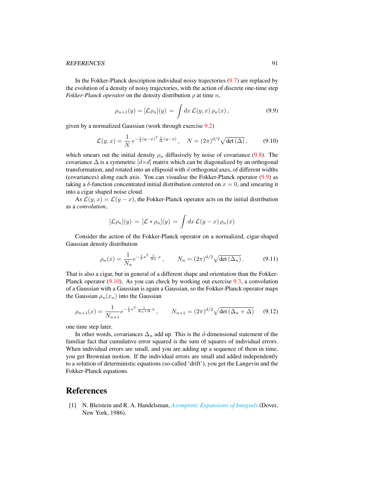#### REFERENCES 91

In the Fokker-Planck description individual noisy trajectories [\(9.7\)](#page-3-2) are replaced by the evolution of a density of noisy trajectories, with the action of discrete one-time step *Fokker-Planck operator* on the density distribution  $\rho$  at time n,

<span id="page-4-0"></span>
$$
\rho_{n+1}(y) = [\mathcal{L}\rho_n](y) = \int dx \, \mathcal{L}(y,x) \, \rho_n(x) \,, \tag{9.9}
$$

given by a normalized Gaussian (work through exercise [9.2\)](#page-5-0)

<span id="page-4-1"></span>
$$
\mathcal{L}(y,x) = \frac{1}{N} e^{-\frac{1}{2}(y-x)^T \frac{1}{\Delta}(y-x)}, \quad N = (2\pi)^{d/2} \sqrt{\det(\Delta)}, \quad (9.10)
$$

which smears out the initial density  $\rho_n$  diffusively by noise of covariance [\(9.8\)](#page-3-3). The covariance  $\Delta$  is a symmetric  $\left[ d \times d \right]$  matrix which can be diagonalized by an orthogonal transformation, and rotated into an ellipsoid with  $d$  orthogonal axes, of different widths (covariances) along each axis. You can visualise the Fokker-Planck operator [\(9.9\)](#page-4-0) as taking a  $\delta$ -function concentrated initial distribution centered on  $x = 0$ , and smearing it into a cigar shaped noise cloud.

As  $\mathcal{L}(y, x) = \mathcal{L}(y - x)$ , the Fokker-Planck operator acts on the initial distribution as a *convolution*,

$$
[\mathcal{L}\rho_n](y) = [\mathcal{L} * \rho_n](y) = \int dx \, \mathcal{L}(y-x) \, \rho_n(x)
$$

Consider the action of the Fokker-Planck operator on a normalized, cigar-shaped Gaussian density distribution

$$
\rho_n(x) = \frac{1}{N_n} e^{-\frac{1}{2}x^T \frac{1}{\Delta_n} x}, \qquad N_n = (2\pi)^{d/2} \sqrt{\det(\Delta_n)}.
$$
 (9.11)

That is also a cigar, but in general of a different shape and orientation than the Fokker-Planck operator [\(9.10\)](#page-4-1). As you can check by working out exercise [9.3,](#page-5-1) a convolution of a Gaussian with a Gaussian is again a Gaussian, so the Fokker-Planck operator maps the Gaussian  $\rho_n(x_n)$  into the Gaussian

$$
\rho_{n+1}(x) = \frac{1}{N_{n+1}} e^{-\frac{1}{2}x^T \frac{1}{\Delta_n + \Delta} x}, \qquad N_{n+1} = (2\pi)^{d/2} \sqrt{\det(\Delta_n + \Delta)} \tag{9.12}
$$

one time step later.

In other words, covariances  $\Delta_n$  add up. This is the d-dimensional statement of the familiar fact that cumulative error squared is the sum of squares of individual errors. When individual errors are small, and you are adding up a sequence of them in time, you get Brownian motion. If the individual errors are small and added independently to a solution of deterministic equations (so-called 'drift'), you get the Langevin and the Fokker-Planck equations.

## References

<span id="page-4-2"></span>[1] N. Bleistein and R. A. Handelsman, *[Asymptotic Expansions of Integrals](http://books.google.com/books?vid=ISBN9780486650821)* (Dover, New York, 1986).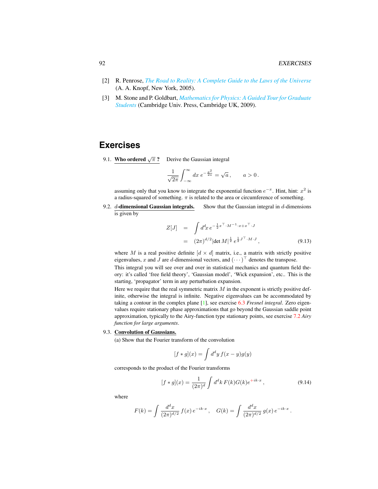- <span id="page-5-3"></span>[2] R. Penrose, *[The Road to Reality: A Complete Guide to the Laws of the Universe](http://books.google.com/books?vid=ISBN9781446418208)* (A. A. Knopf, New York, 2005).
- <span id="page-5-2"></span>[3] M. Stone and P. Goldbart, *[Mathematics for Physics: A Guided Tour for Graduate](http://dx.doi.org/10.1017/cbo9780511627040) [Students](http://dx.doi.org/10.1017/cbo9780511627040)* (Cambridge Univ. Press, Cambridge UK, 2009).

# **Exercises**

9.1. Who ordered  $\sqrt{\pi}$  ? Derive the Gaussian integral

$$
\frac{1}{\sqrt{2\pi}}\int_{-\infty}^{\infty}dx\ e^{-\frac{x^2}{2a}}=\sqrt{a}\,,\qquad a>0\,.
$$

assuming only that you know to integrate the exponential function  $e^{-x}$ . Hint, hint:  $x^2$  is a radius-squared of something.  $\pi$  is related to the area or circumference of something.

<span id="page-5-0"></span>9.2.  $d$ -dimensional Gaussian integrals. Show that the Gaussian integral in  $d$ -dimensions is given by

$$
Z[J] = \int d^d x \, e^{-\frac{1}{2}x^\top \cdot M^{-1} \cdot x + x^\top \cdot J} = (2\pi)^{d/2} |\det M|^{\frac{1}{2}} e^{\frac{1}{2} J^\top \cdot M \cdot J},
$$
(9.13)

where M is a real positive definite  $[d \times d]$  matrix, i.e., a matrix with strictly positive eigenvalues, x and J are d-dimensional vectors, and  $(\cdots)^{\top}$  denotes the transpose.

This integral you will see over and over in statistical mechanics and quantum field theory: it's called 'free field theory', 'Gaussian model', 'Wick expansion', etc.. This is the starting, 'propagator' term in any perturbation expansion.

Here we require that the real symmetric matrix  $M$  in the exponent is strictly positive definite, otherwise the integral is infinite. Negative eigenvalues can be accommodated by taking a contour in the complex plane [\[1\]](#page-4-2), see exercise 6.3 *Fresnel integral*. Zero eigenvalues require stationary phase approximations that go beyond the Gaussian saddle point approximation, typically to the Airy-function type stationary points, see exercise 7.2 *Airy function for large arguments*.

#### <span id="page-5-1"></span>9.3. Convolution of Gaussians.

(a) Show that the Fourier transform of the convolution

$$
[f * g](x) = \int d^d y f(x - y)g(y)
$$

corresponds to the product of the Fourier transforms

$$
[f * g](x) = \frac{1}{(2\pi)^d} \int d^d k F(k) G(k) e^{+ik \cdot x}, \qquad (9.14)
$$

where

$$
F(k) = \int \frac{d^dx}{(2\pi)^{d/2}} f(x) e^{-ik \cdot x}, \quad G(k) = \int \frac{d^dx}{(2\pi)^{d/2}} g(x) e^{-ik \cdot x}.
$$